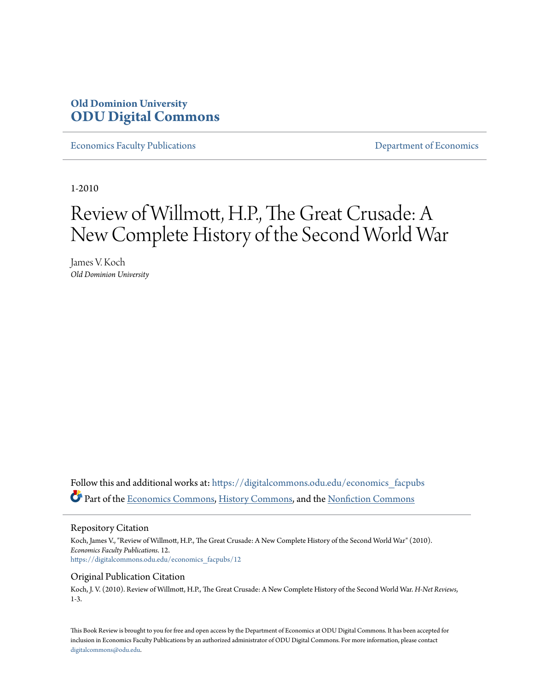### **Old Dominion University [ODU Digital Commons](https://digitalcommons.odu.edu?utm_source=digitalcommons.odu.edu%2Feconomics_facpubs%2F12&utm_medium=PDF&utm_campaign=PDFCoverPages)**

[Economics Faculty Publications](https://digitalcommons.odu.edu/economics_facpubs?utm_source=digitalcommons.odu.edu%2Feconomics_facpubs%2F12&utm_medium=PDF&utm_campaign=PDFCoverPages) [Department of Economics](https://digitalcommons.odu.edu/economics?utm_source=digitalcommons.odu.edu%2Feconomics_facpubs%2F12&utm_medium=PDF&utm_campaign=PDFCoverPages)

1-2010

# Review of Willmott, H.P., The Great Crusade: A New Complete History of the Second World War

James V. Koch *Old Dominion University*

Follow this and additional works at: [https://digitalcommons.odu.edu/economics\\_facpubs](https://digitalcommons.odu.edu/economics_facpubs?utm_source=digitalcommons.odu.edu%2Feconomics_facpubs%2F12&utm_medium=PDF&utm_campaign=PDFCoverPages) Part of the [Economics Commons,](http://network.bepress.com/hgg/discipline/340?utm_source=digitalcommons.odu.edu%2Feconomics_facpubs%2F12&utm_medium=PDF&utm_campaign=PDFCoverPages) [History Commons](http://network.bepress.com/hgg/discipline/489?utm_source=digitalcommons.odu.edu%2Feconomics_facpubs%2F12&utm_medium=PDF&utm_campaign=PDFCoverPages), and the [Nonfiction Commons](http://network.bepress.com/hgg/discipline/1152?utm_source=digitalcommons.odu.edu%2Feconomics_facpubs%2F12&utm_medium=PDF&utm_campaign=PDFCoverPages)

Repository Citation

Koch, James V., "Review of Willmott, H.P., The Great Crusade: A New Complete History of the Second World War" (2010). *Economics Faculty Publications*. 12. [https://digitalcommons.odu.edu/economics\\_facpubs/12](https://digitalcommons.odu.edu/economics_facpubs/12?utm_source=digitalcommons.odu.edu%2Feconomics_facpubs%2F12&utm_medium=PDF&utm_campaign=PDFCoverPages)

### Original Publication Citation

Koch, J. V. (2010). Review of Willmott, H.P., The Great Crusade: A New Complete History of the Second World War. *H-Net Reviews*, 1-3.

This Book Review is brought to you for free and open access by the Department of Economics at ODU Digital Commons. It has been accepted for inclusion in Economics Faculty Publications by an authorized administrator of ODU Digital Commons. For more information, please contact [digitalcommons@odu.edu.](mailto:digitalcommons@odu.edu)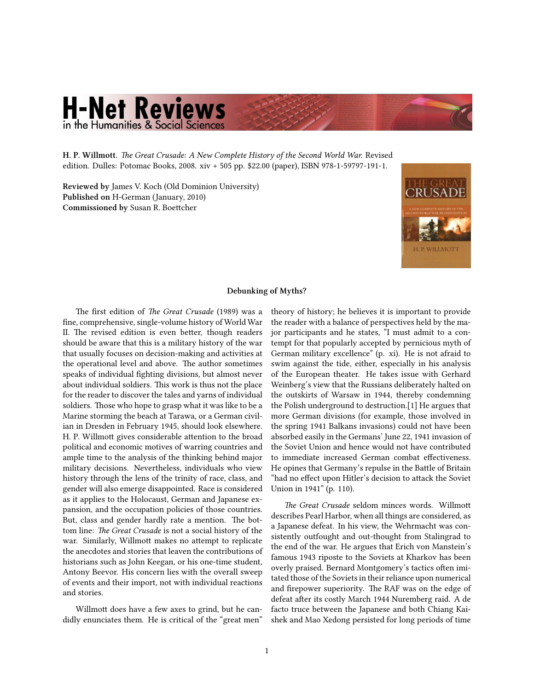## **H-Net Reviews** in the Humanities & Social Sciences

**H. P. Willmott.** *[The Great Crusade: A New Complete History of the Second World War.](http://www.amazon.com/exec/obidos/ASIN/159797191X)* Revised edition. Dulles: Potomac Books, 2008. xiv + 505 pp. \$22.00 (paper), ISBN 978-1-59797-191-1.

**Reviewed by** James V. Koch (Old Dominion University) **Published on** H-German (January, 2010) **Commissioned by** Susan R. Boettcher



#### **Debunking of Myths?**

The first edition of *The Great Crusade* (1989) was a fine, comprehensive, single-volume history of World War II. The revised edition is even better, though readers should be aware that this is a military history of the war that usually focuses on decision-making and activities at the operational level and above. The author sometimes speaks of individual fighting divisions, but almost never about individual soldiers. This work is thus not the place for the reader to discover the tales and yarns of individual soldiers. Those who hope to grasp what it was like to be a Marine storming the beach at Tarawa, or a German civilian in Dresden in February 1945, should look elsewhere. H. P. Willmott gives considerable attention to the broad political and economic motives of warring countries and ample time to the analysis of the thinking behind major military decisions. Nevertheless, individuals who view history through the lens of the trinity of race, class, and gender will also emerge disappointed. Race is considered as it applies to the Holocaust, German and Japanese expansion, and the occupation policies of those countries. But, class and gender hardly rate a mention. The bottom line: *The Great Crusade* is not a social history of the war. Similarly, Willmott makes no attempt to replicate the anecdotes and stories that leaven the contributions of historians such as John Keegan, or his one-time student, Antony Beevor. His concern lies with the overall sweep of events and their import, not with individual reactions and stories.

Willmott does have a few axes to grind, but he candidly enunciates them. He is critical of the "great men" theory of history; he believes it is important to provide the reader with a balance of perspectives held by the major participants and he states, "I must admit to a contempt for that popularly accepted by pernicious myth of German military excellence" (p. xi). He is not afraid to swim against the tide, either, especially in his analysis of the European theater. He takes issue with Gerhard Weinberg's view that the Russians deliberately halted on the outskirts of Warsaw in 1944, thereby condemning the Polish underground to destruction.[1] He argues that more German divisions (for example, those involved in the spring 1941 Balkans invasions) could not have been absorbed easily in the Germans' June 22, 1941 invasion of the Soviet Union and hence would not have contributed to immediate increased German combat effectiveness. He opines that Germany's repulse in the Battle of Britain "had no effect upon Hitler's decision to attack the Soviet Union in 1941" (p. 110).

*The Great Crusade* seldom minces words. Willmott describes Pearl Harbor, when all things are considered, as a Japanese defeat. In his view, the Wehrmacht was consistently outfought and out-thought from Stalingrad to the end of the war. He argues that Erich von Manstein's famous 1943 riposte to the Soviets at Kharkov has been overly praised. Bernard Montgomery's tactics often imitated those of the Soviets in their reliance upon numerical and firepower superiority. The RAF was on the edge of defeat after its costly March 1944 Nuremberg raid. A de facto truce between the Japanese and both Chiang Kaishek and Mao Xedong persisted for long periods of time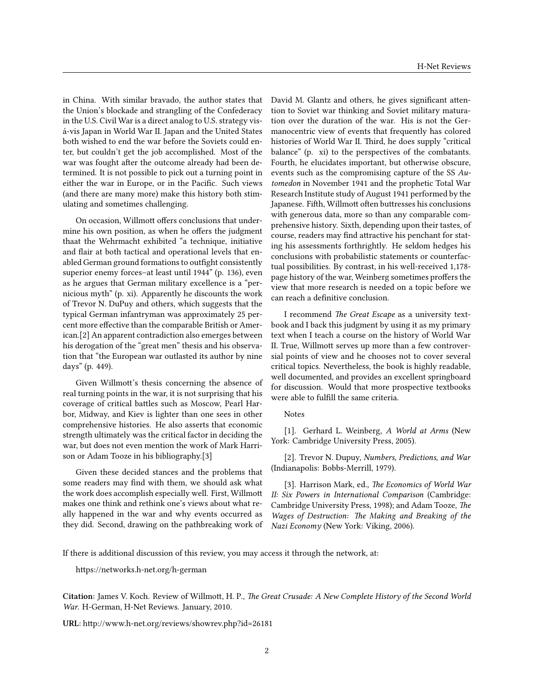in China. With similar bravado, the author states that the Union's blockade and strangling of the Confederacy in the U.S. Civil War is a direct analog to U.S. strategy visá-vis Japan in World War II. Japan and the United States both wished to end the war before the Soviets could enter, but couldn't get the job accomplished. Most of the war was fought after the outcome already had been determined. It is not possible to pick out a turning point in either the war in Europe, or in the Pacific. Such views (and there are many more) make this history both stimulating and sometimes challenging.

On occasion, Willmott offers conclusions that undermine his own position, as when he offers the judgment thaat the Wehrmacht exhibited "a technique, initiative and flair at both tactical and operational levels that enabled German ground formations to outfight consistently superior enemy forces–at least until 1944" (p. 136), even as he argues that German military excellence is a "pernicious myth" (p. xi). Apparently he discounts the work of Trevor N. DuPuy and others, which suggests that the typical German infantryman was approximately 25 percent more effective than the comparable British or American.[2] An apparent contradiction also emerges between his derogation of the "great men" thesis and his observation that "the European war outlasted its author by nine days" (p. 449).

Given Willmott's thesis concerning the absence of real turning points in the war, it is not surprising that his coverage of critical battles such as Moscow, Pearl Harbor, Midway, and Kiev is lighter than one sees in other comprehensive histories. He also asserts that economic strength ultimately was the critical factor in deciding the war, but does not even mention the work of Mark Harrison or Adam Tooze in his bibliography.[3]

Given these decided stances and the problems that some readers may find with them, we should ask what the work does accomplish especially well. First, Willmott makes one think and rethink one's views about what really happened in the war and why events occurred as they did. Second, drawing on the pathbreaking work of David M. Glantz and others, he gives significant attention to Soviet war thinking and Soviet military maturation over the duration of the war. His is not the Germanocentric view of events that frequently has colored histories of World War II. Third, he does supply "critical balance" (p. xi) to the perspectives of the combatants. Fourth, he elucidates important, but otherwise obscure, events such as the compromising capture of the SS *Automedon* in November 1941 and the prophetic Total War Research Institute study of August 1941 performed by the Japanese. Fifth, Willmott often buttresses his conclusions with generous data, more so than any comparable comprehensive history. Sixth, depending upon their tastes, of course, readers may find attractive his penchant for stating his assessments forthrightly. He seldom hedges his conclusions with probabilistic statements or counterfactual possibilities. By contrast, in his well-received 1,178 page history of the war, Weinberg sometimes proffers the view that more research is needed on a topic before we can reach a definitive conclusion.

I recommend *The Great Escape* as a university textbook and I back this judgment by using it as my primary text when I teach a course on the history of World War II. True, Willmott serves up more than a few controversial points of view and he chooses not to cover several critical topics. Nevertheless, the book is highly readable, well documented, and provides an excellent springboard for discussion. Would that more prospective textbooks were able to fulfill the same criteria.

### **Notes**

[1]. Gerhard L. Weinberg, *A World at Arms* (New York: Cambridge University Press, 2005).

[2]. Trevor N. Dupuy, *Numbers, Predictions, and War* (Indianapolis: Bobbs-Merrill, 1979).

[3]. Harrison Mark, ed., *The Economics of World War II: Six Powers in International Comparison* (Cambridge: Cambridge University Press, 1998); and Adam Tooze, *The Wages of Destruction: The Making and Breaking of the Nazi Economy* (New York: Viking, 2006).

If there is additional discussion of this review, you may access it through the network, at:

<https://networks.h-net.org/h-german>

**Citation:** James V. Koch. Review of Willmott, H. P., *The Great Crusade: A New Complete History of the Second World War*. H-German, H-Net Reviews. January, 2010.

**URL:** <http://www.h-net.org/reviews/showrev.php?id=26181>